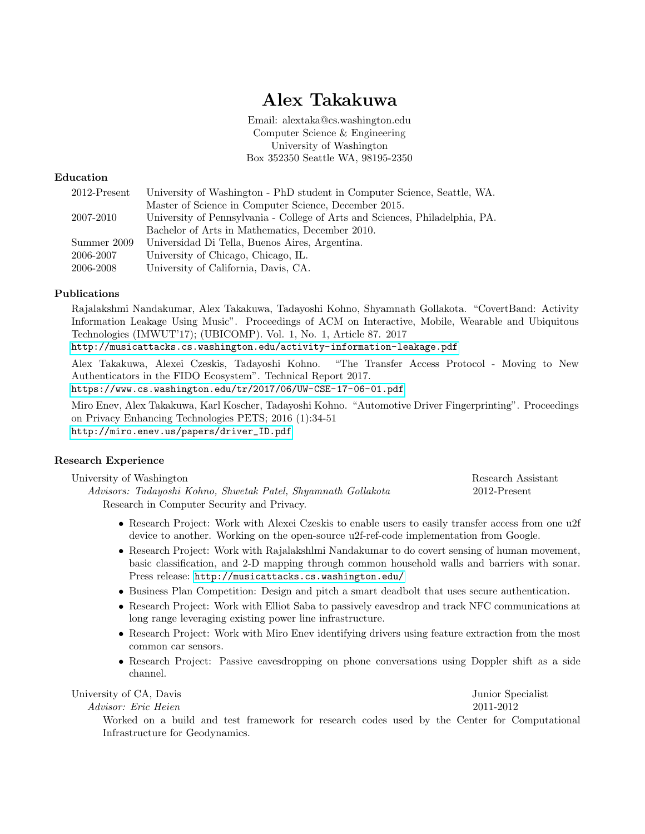# Alex Takakuwa

Email: alextaka@cs.washington.edu Computer Science & Engineering University of Washington Box 352350 Seattle WA, 98195-2350

# Education

| 2012-Present | University of Washington - PhD student in Computer Science, Seattle, WA.     |
|--------------|------------------------------------------------------------------------------|
|              | Master of Science in Computer Science, December 2015.                        |
| 2007-2010    | University of Pennsylvania - College of Arts and Sciences, Philadelphia, PA. |
|              | Bachelor of Arts in Mathematics, December 2010.                              |
| Summer 2009  | Universidad Di Tella, Buenos Aires, Argentina.                               |
| 2006-2007    | University of Chicago, Chicago, IL.                                          |
| 2006-2008    | University of California, Davis, CA.                                         |

# Publications

Rajalakshmi Nandakumar, Alex Takakuwa, Tadayoshi Kohno, Shyamnath Gollakota. "CovertBand: Activity Information Leakage Using Music". Proceedings of ACM on Interactive, Mobile, Wearable and Ubiquitous Technologies (IMWUT'17); (UBICOMP). Vol. 1, No. 1, Article 87. 2017

<http://musicattacks.cs.washington.edu/activity-information-leakage.pdf>

Alex Takakuwa, Alexei Czeskis, Tadayoshi Kohno. "The Transfer Access Protocol - Moving to New Authenticators in the FIDO Ecosystem". Technical Report 2017.

<https://www.cs.washington.edu/tr/2017/06/UW-CSE-17-06-01.pdf>

Miro Enev, Alex Takakuwa, Karl Koscher, Tadayoshi Kohno. "Automotive Driver Fingerprinting". Proceedings on Privacy Enhancing Technologies PETS; 2016 (1):34-51 [http://miro.enev.us/papers/driver\\_ID.pdf](http://miro.enev.us/papers/driver_ID.pdf)

# Research Experience

| University of Washington                                      | Research Assistant |
|---------------------------------------------------------------|--------------------|
| Advisors: Tadayoshi Kohno, Shwetak Patel, Shyamnath Gollakota | 2012-Present       |
| Research in Computer Security and Privacy.                    |                    |

- Research Project: Work with Alexei Czeskis to enable users to easily transfer access from one u2f device to another. Working on the open-source u2f-ref-code implementation from Google.
- Research Project: Work with Rajalakshlmi Nandakumar to do covert sensing of human movement, basic classification, and 2-D mapping through common household walls and barriers with sonar. Press release: <http://musicattacks.cs.washington.edu/>
- Business Plan Competition: Design and pitch a smart deadbolt that uses secure authentication.
- Research Project: Work with Elliot Saba to passively eavesdrop and track NFC communications at long range leveraging existing power line infrastructure.
- Research Project: Work with Miro Enev identifying drivers using feature extraction from the most common car sensors.
- Research Project: Passive eavesdropping on phone conversations using Doppler shift as a side channel.

University of CA, Davis Junior Specialist Junior Specialist

Advisor: Eric Heien 2011-2012

Worked on a build and test framework for research codes used by the Center for Computational Infrastructure for Geodynamics.